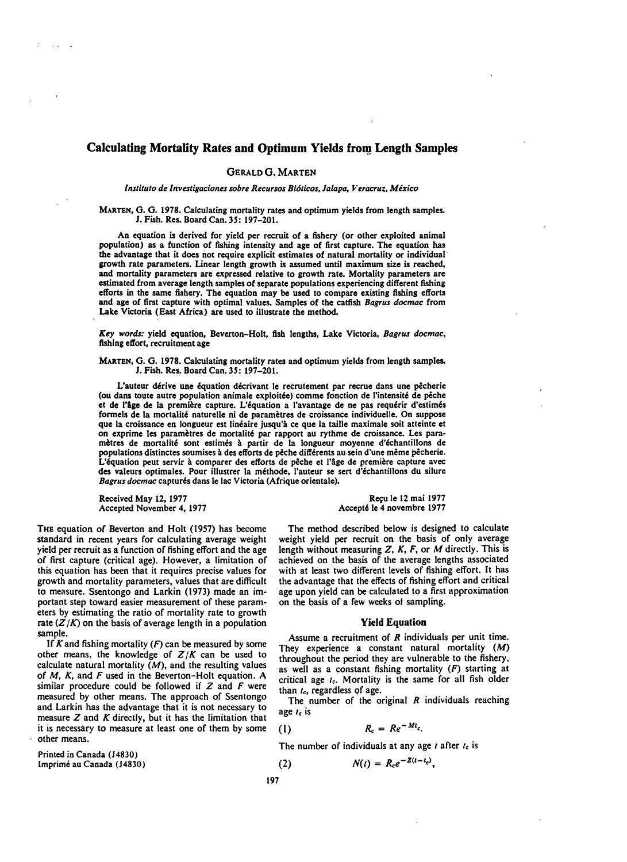# Calculating Mortality Rates and Optimum Yields from Length Samples

# GERALD G. MARTEN

Instituto de Investigaciones sobre Recursos Bióticos, Jalapa, Veracruz, México

MARTEN, G. G. 1978. Calculating mortality rates and optimum yields from length samples. J. Fish. Res. Board Can. 3*S:* 197-20t.

An equation is derived for yield per recruit of a fishery (or other exploited animal population) as a function of fishing intensity and age of first capture. The equation has the advantage that it does not require explicit estimates of natural mortality or individual growth rate parameters. Linear length growth is assumed until maximum size is reached, and mortality parameters are expressed relative to growth rate. Mortality parameters are estimated from average length samples of separate populations experiencing different fishing efforts in the same fishery. The equation may be used to compare existing fishing efforts and age of first capture with optimal values. Samples of the catfish *Bagrus docmac* from Lake Victoria (East Africa) are used to illustrate the method.

*Key words:* yield equation, Beverton-Holt, fish lengths, Lake Victoria, *Bagrus docmac,*  fishing effort, recruitment age

MARTEN, G. G. 1978. Calculating mortality rates and optimum yields from length samples. J. Fish. Res. Board Can. *3S: 197-201.* 

L'auteur dérive une équation décrivant le recrutement par recrue dans une pêcherie (ou dans toute autre population animale exploitée) comme fonction de l'intensité de pêche et de l'age de la premiere capture. L'equation a I'avantage de ne pas requerir d'estimes formels de la mortalité naturelle ni de paramètres de croissance individuelle. On suppose que la croissance en longueur est linéaire jusqu'à ce que la taille maximale soit atteinte et on exprime les parametres de mortalite par rapport au rythme de croissance. Les parametres de mortalite soot estimes a partir de la longueur moyenne d'echantillons de populations distinctes soumises ades efforts de peche differents au·sein d'une meme pecherie. L'équation peut servir à comparer des efforts de pêche et l'âge de première capture avec des valeurs optimales. Pour illustrer la méthode, l'auteur se sert d'échantillons du silure Bagrus docmac capturés dans le lac Victoria (Afrique orientale).

Received May 12, 1977<br>
Accepted November 4, 1977<br>
Accepted November 4, 1977<br>
Accepte 1e 4 novembre 1977 Accepted November 4, 1977

THE equation of Beverton and Holt (1957) has become The method described below is designed to calculate standard in recent years for calculating average weight weight yield per recruit on the basis of only average standard in recent years for calculating average weight weight yield per recruit on the basis of only average yield per recruit as a function of fishing effort and the age length without measuring Z, K, F, or M directly. yield per recruit as a function of fishing effort and the age length without measuring  $Z$ ,  $K$ ,  $F$ , or  $M$  directly. This is of first capture (critical age). However, a limitation of achieved on the basis of the average this equation has been that it requires precise values for with at least two different levels of fishing effort. It has growth and mortality parameters, values that are difficult the advantage that the effects of fishing e growth and mortality parameters, values that are difficult to measure. Ssentongo and Larkin (1973) made an im- age upon yield can be calculated to a first approximation portant step toward easier measurement of these param- on the basis of a few weeks of sampling. portant step toward easier measurement of these parameters by estimating the ratio of mortality rate to growth rate  $(Z/K)$  on the basis of average length in a population **Yield Equation**<br>sample.

If A and its imaginoriality ( $M$ ) other means, the knowledge of  $Z/K$  can be used to<br>calculate natural mortality ( $M$ ), and the resulting values<br>of  $M$ ,  $K$ , and  $F$  used in the Beverton-Holt equation. A<br>calculate natural of  $M$ , K, and F used in the Beverton-Holt equation. A critical age  $I_c$ . Mortality is the same for all fish older similar procedure could be followed if Z and F were than I recardless of age Similar procedure could be followed if  $Z$  and  $r$  were than  $t_c$ , regardless of age.<br>
measured by other means. The approach of Ssentongo<br>
and Larkin has the advantage that it is not necessary to<br>
age  $t_c$  is measure  $Z$  and  $K$  directly, but it has the limitation that it is necessary to measure at least one of them by some  $(1)$ <br>other means.

Printed in Canada (14830) Imprimé au Canada (14830) **(2)**  $(2)$ 

achieved on the basis of the average lengths associated with at least two different levels of fishing effort. It has

mple.<br>If K and fishing mortality (F) can be measured by some  $\frac{1}{2}$  Assume a recruitment of R individuals per unit time.

 $R_c = Re^{-Mt_c}$ .

$$
f_{\rm{max}}
$$

The number of individuals at any age *I* after *Ie* is

$$
N(t) = R_c e^{-Z(t-t_c)},
$$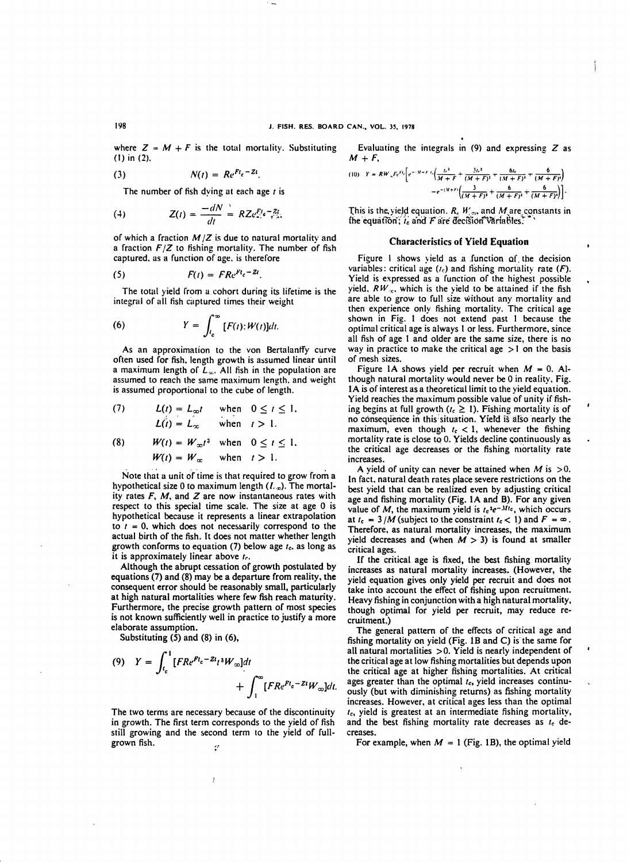where  $Z = M + F$  is the total mortality. Substituting (1) in (2).

$$
N(t) = Re^{Ft_c - Zt}.
$$

The number of fish dying at each age  $t$  is

(4) 
$$
Z(t) = \frac{-dN}{dt} = RZe_{\pi}^{Ft}e^{-\frac{Zt}{t}}.
$$

of which a fraction  $M/Z$  is due to natural mortality and a fraction  $F/Z$  to fishing mortality. The number of fish captured. as a function of age. is therefore

$$
(5) \hspace{3.1em} F(t) = FR e^{F t_c - 2t}.
$$

The total yield from a cohort during its lifetime is the integral of all fish captured times their weight

(6) 
$$
Y = \int_{t_c}^{\infty} [F(t):W(t)]dt.
$$

As an approximation to the von Bertalantfy curve often used for fish. length growth is assumed linear until a maximum length of  $L_{\infty}$ . All fish in the population are assumed to reach the same maximum length. and weight is assumed proportional to the cube of length.

(7) 
$$
L(t) = L_{\infty}t \text{ when } 0 \leq t \leq 1,
$$

$$
L(t) = L_{\infty} \text{ when } t > 1.
$$

(8) 
$$
W(t) = W_{\infty}t^3 \text{ when } 0 \le t \le 1.
$$

$$
W(t) = W_{\infty} \text{ when } t > 1.
$$

Note that a unit of time is that required to grow from a hypothetical size 0 to maximum length  $(L<sub>x</sub>)$ . The mortality rates  $F$ ,  $M$ , and  $Z$  are now instantaneous rates with respect to this special time scale. The size at age 0 is hypothetical because it represents a linear extrapolation to  $t = 0$ , which does not necessarily correspond to the actual birth of the fish. It does not matter whether length growth conforms to equation (7) below age *Ie.* as long as it is approximately linear above f*r•* 

Although the abrupt cessation of growth postulated by equations (7) and (8) may be a departure from reality. the consequent error should be reasonably small, particularly at high natural mortalities where few fish reach maturity. Furthermore, the precise growth pattern of most species is not known sufficiently well in practice to justify a more elaborate assumption.

Substituting (5) and (8) in (6),

(9) 
$$
Y = \int_{t_c}^{1} [FR e^{Ft_c - 2t} i^3 W_{\infty}] dt + \int_{1}^{\infty} [FR e^{Ft_c - 2t} W_{\infty}] dt.
$$

The two terms are necessary because of the discontinuity in growth. The first term corresponds to the yield of fish still growing and the second term to the yield of fullgrown fish.  $\mathcal{C}^{\star}$ 

Ī

Evaluating the integrals in  $(9)$  and expressing  $Z$  as  $M+F$ .

$$
(10) \quad Y = RW_{-}Fe^{F_{i}}\left[e^{-\frac{(M+F)}{H+F}t}\left(\frac{L^{2}}{M+F}+\frac{3L^{2}}{(M+F)^{2}}+\frac{6L}{(M+F)^{2}}+\frac{6}{(M+F)^{4}}\right)\right]
$$

$$
=e^{-(M+F)}\left(\frac{3}{(M+F)^{2}}+\frac{6}{(M+F)^{3}}+\frac{6}{(M+F)^{4}}\right)
$$

This is the yield equation. R,  $W_{\infty}$ , and  $M_{\infty}$  constants in the equation;  $i_{c}$  and  $F$  are decision variables.

## Characteristics of Yield Equation

Figure 1 shows yield as a function of the decision variables: critical age  $(t<sub>c</sub>)$  and fishing mortality rate  $(F)$ . Yield is expressed as a function of the highest possible yield.  $RW_{\infty}$ , which is the yield to be attained if the fish are able to grow to full size without any mortality and then experience only fishing mortality. The critical age shown in Fig. 1 does not extend past 1 because the optimaI criticaI age is always t or less. Furthermore, since all fish of age 1 and older are the same size, there is no way in practice to make the critical age  $>1$  on the basis of mesh sizes.

Figure 1A shows yield per recruit when  $M = 0$ . Although natural mortality would never be 0 in reality, Fig. lA is of interest as a theoretical limit to the yield equation. Yield reaches the maximum possible value of unity if fishing begins at full growth ( $t_c \geq 1$ ). Fishing mortality is of no consequence in this situation. Yield is also nearly the maximum, even though  $t_c < 1$ , whenever the fishing mortality rate is close to 0. Yields decline continuously as the critical age decreases or the fishing mortality rate increases.

A yield of unity can never be attained when M is  $>0$ . In fact. natural death rates place severe restrictions on the best yield that can be realized even by adjusting critical age and fishing mortality (Fig. 1A and B). For any given value of *M*, the maximum yield is  $t_c$ <sup>3</sup>e<sup>-31tc</sup>, which occurs at  $t_c = 3/M$  (subject to the constraint  $t_c < 1$ ) and  $F = \infty$ . Therefore, as natural mortality increases, the maximum yield decreases and (when  $M > 3$ ) is found at smaller critical ages.

If the critical age is fixed, the best fishing mortality increases as natural mortality increases. (However, the yield equation gives only yield per recruit and does not take into account the effect of fishing upon recruitment. Heavy fishing in conjunction with a high natural mortality, though optimal for yield per recruit, may reduce recruitment.)

The general pattern of the effects of critical age and fishing mortality on yield (Fig. 1B and C) is the same for all natural mortalities >O. Yield is nearly independent of the critical age at low fishing mortalities but depends upon the critical age at higher fishing mortalities. At critical ages greater than the optimal *t<sub>c</sub>*, yield increases continuously (but with diminishing returns) as fishing mortality increases. However, at critical ages less than the optimal *Ie,* yield is greatest at an intermediate fishing mortality, and the best fishing mortality rate decreases as  $t_c$  decreases.

For example, when  $M = 1$  (Fig. 1B), the optimal yield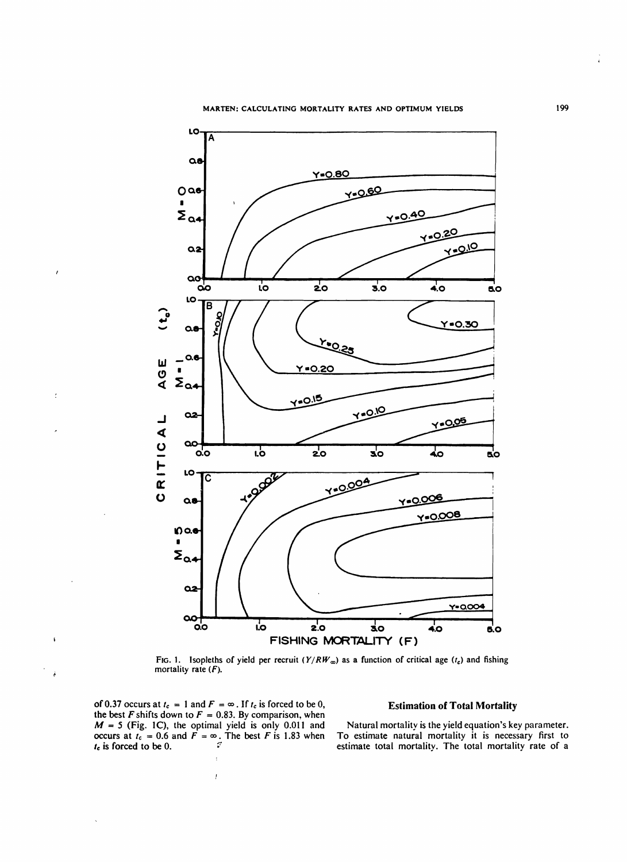

FIG. 1. Isopleths of yield per recruit  $(Y/RW_{\infty})$  as a function of critical age  $(t_c)$  and fishing mortality rate  $(F)$ .

of 0.37 occurs at  $t_c = 1$  and  $F = \infty$ . If  $t_c$  is forced to be 0, Estimation of Total Mortality the best  $F$  shifts down to  $F = 0.83$ . By comparison, when  $M = 5$  (Fig. 1C), the optimal yield is only 0.011 and Natural mortality is the yield equation's key parameter.  $I_c$  is forced to be 0.  $I_c$  is forced to be 0.

 $\overline{1}$ 

 $\lambda$ 

ł

occurs at  $t_c = 0.6$  and  $F = \infty$ . The best F is 1.83 when To estimate natural mortality it is necessary first to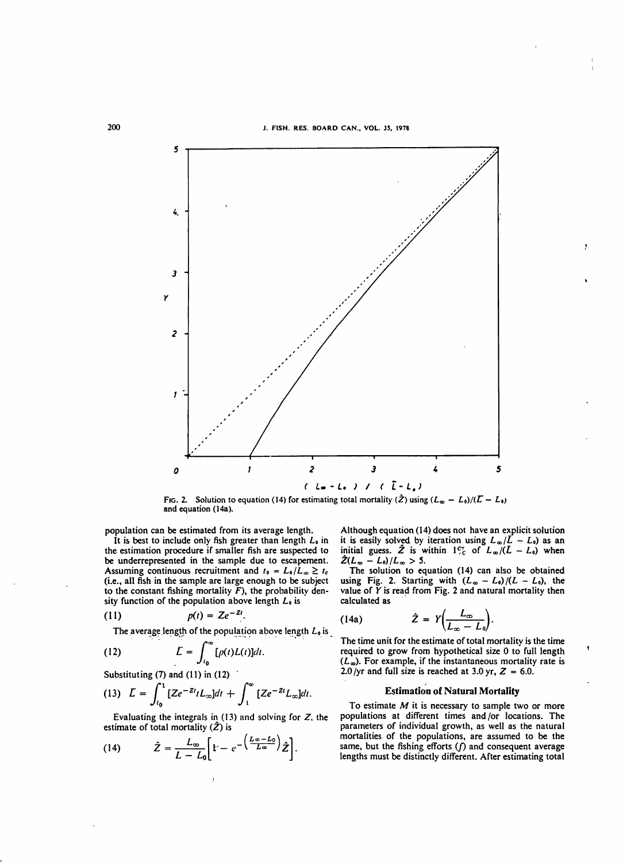

and equation (14a). FIG. 2. Solution to equation (14) for estimating total mortality  $(\hat{Z})$  using  $(L_{\infty} - L_0)/(Z - L_0)$ 

population can be estimated from its average length.

It is best to include only fish greater than length  $L_0$  in the estimation procedure if smaller fish are suspected to be underrepresented in the sample due to escapement. Assuming continuous recruitment and  $t_0 = L_0/L_\infty \geq t_c$ (i.e., all fish in the sample are large enough to be subject to the constant fishing mortality  $\overline{F}$ ), the probability density function of the population above length  $L_0$  is

$$
(11) \hspace{1cm} p(t) = Ze^{-Zt}.
$$

The average length of the population above length  $L_9$  is

(12) 
$$
L = \int_{t_0}^{\infty} [p(t)L(t)]dt.
$$

Substituting (7) and (11) in (12)  
\n(13) 
$$
L = \int_{t_0}^{1} [Ze^{-2t}tL_{\infty}]dt + \int_{1}^{\infty} [Ze^{-2t}L_{\infty}]dt.
$$

Evaluating the integrals in  $(13)$  and solving for Z. the estimate of total mortality  $(\hat{Z})$  is

(14) 
$$
\hat{Z} = \frac{L_{\infty}}{L - L_0} \left[ \dot{r} - e^{-\left(\frac{L_{\infty} - L_0}{L_{\infty}}\right)} \hat{Z} \right].
$$

Although equation (14) does not have an explicit solution it is easily solved by iteration using  $L_{\infty}/\bar{L} - L_0$ ) as an initial guess.  $\hat{Z}$  is within  $1\%$  of  $L_{\infty}/(L - L_0)$  when  $\hat{Z}(L_{\infty} - L_0)/L_{\infty} > 5.$ 

The solution to equation (14) can also be obtained using Fig. 2. Starting with  $(L_{\infty} - L_0)/(L - L_0)$ , the value of  $\tilde{Y}$  is read from Fig. 2 and natural mortality then calculated as

(14a) 
$$
\hat{Z} = Y \left( \frac{L_{\infty}}{L_{\infty} - L_0} \right).
$$

The time unit for the estimate of total mortality is the time required to grow from hypothetical size 0 to full length  $(L_{\infty})$ . For example, if the instantaneous mortality rate is 2.0/yr and full size is reached at 3.0 yr,  $Z = 6.0$ .

# Estimation of Natural Mortality

To estimate  $M$  it is necessary to sample two or more populations at different times and *lor* locations. The parameters of individual growth, as well as the natural mortalities of the populations, are assumed to be the same, but the fishing efforts  $(f)$  and consequent average lengths must be distinctly different. After estimating total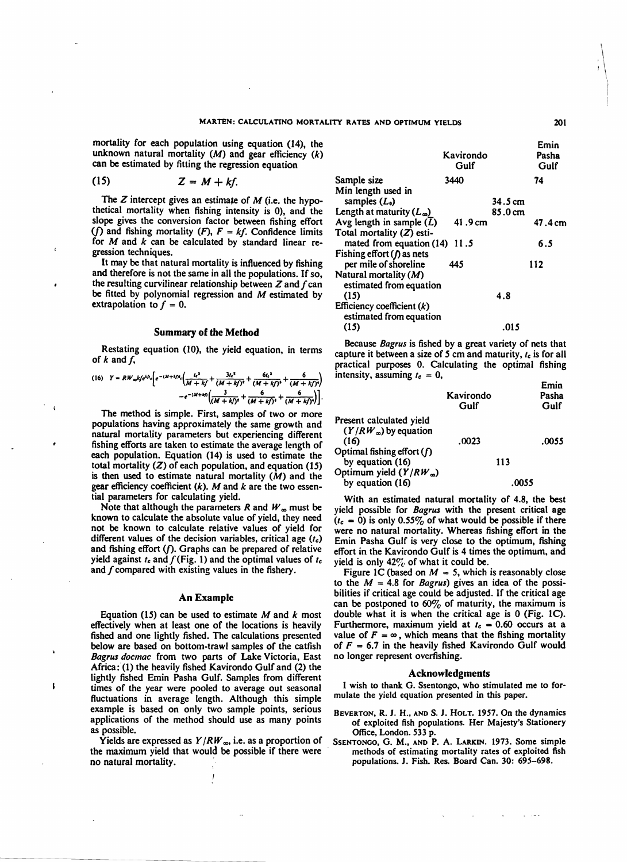mortality for each population using equation (14), the unknown natural mortality  $(M)$  and gear efficiency  $(k)$ can be estimated by fitting the regression equation

$$
(15) \tZ = M + kf.
$$

The  $Z$  intercept gives an estimate of  $M$  (i.e. the hypothetical mortality when fishing intensity is 0), and the slope gives the conversion factor between fishing effort (f) and fishing mortality  $(F)$ ,  $F = kf$ . Confidence limits for *M* and *k* can be calculated by standard linear regression techniques.

It may be that natural mortality is influenced by fishing and therefore is not the same in all the populations. If so, the resulting curvilinear relationship between  $Z$  and  $f$  can be fitted by polynomial regression and  $M$  estimated by extrapolation to  $f = 0$ .

# Summary of the Method

Restating equation (10), the yield equation, in terms of  $k$  and  $f$ ,

(16) 
$$
Y = RW_{\infty}kfe^{kt} \cdot \left[ e^{-(M+1)t} \cdot \left( \frac{t e^{3}}{M+k} + \frac{3t e^{3}}{(M+k)^{3}} + \frac{6t e^{3}}{(M+k)^{3}} + \frac{6}{(M+k)^{4}} \right) \right] - e^{-(M+t)t} \left( \frac{3}{(M+k)^{3}} + \frac{6}{(M+k)^{3}} + \frac{6}{(M+k)^{5}} \right).
$$

The method is simple. First, samples of two or more populations having approximately the same growth and natural mortality parameters but experiencing different fishing efforts are taken to estimate the average length of each population. Equation (14) is used to estimate the total mortality  $(Z)$  of each population, and equation  $(15)$ is then used to estimate natural mortality  $(M)$  and the gear efficiency coefficient *(k). M* and *k* are the two essential parameters for calculating yield.

Note that although the parameters R and  $W_{\infty}$  must be known to calculate the absolute value of yield, they need not be known to calculate relative values of yield for different values of the decision variables, critical age *(Ie)*  and fishing effort  $(f)$ . Graphs can be prepared of relative yield against  $t_c$  and  $f$ (Fig. 1) and the optimal values of  $t_c$ and f compared with existing values in the fishery.

### An Example

Equation (15) can be used to estimate  $M$  and  $k$  most effectively when at least one of the locations is heavily fished and one lightly fished. The calculations presented below are based on bottom-trawl samples of the catfish *Bagrus docmac* from two parts of Lake Victoria, East Africa: (1) the heavily fished Kavirondo Gulf and (2) the lightly fished Emin Pasha Gulf. Samples from different times of the year were pooled to average out seasonal fluctuations in average length. Although this simple example is based on only two sample points, serious applications of the method should use as many points as possible.

1

Yields are expressed as  $Y/RW_{\infty}$ , i.e. as a proportion of the maximum yield that would be possible if there were no natural mortality. .

|                                                         | Kavirondo<br>Gulf | Emin<br>Pasha<br>Gulf |         |
|---------------------------------------------------------|-------------------|-----------------------|---------|
| Sample size                                             | 3440              |                       | 74      |
| Min length used in                                      |                   |                       |         |
| samples $(L_0)$                                         |                   | 34.5 cm               |         |
| Length at maturity $(L_{\infty})$                       |                   | $85.0 \text{ cm}$     |         |
| Avg length in sample $(L)$                              | 41.9 cm           |                       | 47.4 cm |
| Total mortality (Z) esti-                               |                   |                       |         |
| mated from equation (14)                                | 11.5              |                       | 6.5     |
| Fishing effort $(\prime)$ as nets                       |                   |                       |         |
| per mile of shoreline                                   | 445               |                       | 112     |
| Natural mortality $(M)$<br>estimated from equation      |                   |                       |         |
| (15)                                                    |                   | 4.8                   |         |
| Efficiency coefficient $(k)$<br>estimated from equation |                   |                       |         |
| (15)                                                    |                   | .015                  |         |

Because *Bagrus* is fished by a great variety of nets that capture it between a size of 5 em and maturity, *Ie* is for all practical purposes O. Calculating the optimal fishing intensity, assuming  $r_c = 0$ , Emin

|                                                                   | Kavirondo<br>Gulf | .<br>Pasha<br>Gulf |
|-------------------------------------------------------------------|-------------------|--------------------|
| Present calculated yield<br>$(Y/RW_{\infty})$ by equation<br>(16) | .0023             | .0055              |
| Optimal fishing effort $(f)$<br>by equation (16)                  | 113               |                    |
| Optimum yield $(Y/RW_{\infty})$<br>by equation (16)               |                   | .0055              |

With an estimated natural mortality of 4.8, the best yield possible for *Bagrus* with the present critical age  $(t_c = 0)$  is only 0.55% of what would be possible if there were no natural mortality. Whereas fishing effort in the Emin Pasha Gulf is very close to the optimum, fishing effort in the Kavirondo Gulf is 4 times the optimum. and yield is only  $42\%$  of what it could be.

Figure 1C (based on  $M = 5$ , which is reasonably close to the  $M = 4.8$  for *Bagrus*) gives an idea of the possibilities if critical age could be adjusted. If the critical age can be postponed to  $60\%$  of maturity, the maximum is double what it is when the critical age is 0 (Fig. 1C). Furthermore, maximum yield at  $t_c = 0.60$  occurs at a value of  $F = \infty$ , which means that the fishing mortality of  $F = 6.7$  in the heavily fished Kavirondo Gulf would no longer represent overfishing.

### Acknowledgments

I wish to thank G. Ssentongo, who stimulated me to formulate the yield equation presented in this paper.

- BEVERTON, R. J. H., AND S. J. HOLT. 1957. On the dynamics of exploited fish populations. Her Majesty's Stationery Office, London. 533 p.
- SSENTONOO, G. M., AND P. A. LARKIN. 1973. Some simple methods of estimating mortality rates of exploited fish populations. J. Fish. Res. Board Can. 30: 695-698.